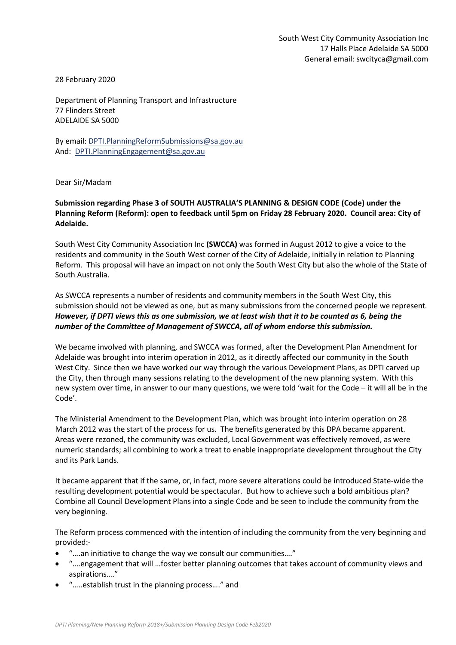28 February 2020

Department of Planning Transport and Infrastructure 77 Flinders Street ADELAIDE SA 5000

By email: [DPTI.PlanningReformSubmissions@sa.gov.au](mailto:DPTI.PlanningReformSubmissions@sa.gov.au) And: [DPTI.PlanningEngagement@sa.gov.au](mailto:DPTI.PlanningEngagement@sa.gov.au)

Dear Sir/Madam

## **Submission regarding Phase 3 of SOUTH AUSTRALIA'S PLANNING & DESIGN CODE (Code) under the Planning Reform (Reform): open to feedback until 5pm on Friday 28 February 2020. Council area: City of Adelaide.**

South West City Community Association Inc **(SWCCA)** was formed in August 2012 to give a voice to the residents and community in the South West corner of the City of Adelaide, initially in relation to Planning Reform. This proposal will have an impact on not only the South West City but also the whole of the State of South Australia.

As SWCCA represents a number of residents and community members in the South West City, this submission should not be viewed as one, but as many submissions from the concerned people we represent*. However, if DPTI views this as one submission, we at least wish that it to be counted as 6, being the number of the Committee of Management of SWCCA, all of whom endorse this submission.*

We became involved with planning, and SWCCA was formed, after the Development Plan Amendment for Adelaide was brought into interim operation in 2012, as it directly affected our community in the South West City. Since then we have worked our way through the various Development Plans, as DPTI carved up the City, then through many sessions relating to the development of the new planning system. With this new system over time, in answer to our many questions, we were told 'wait for the Code – it will all be in the Code'.

The Ministerial Amendment to the Development Plan, which was brought into interim operation on 28 March 2012 was the start of the process for us. The benefits generated by this DPA became apparent. Areas were rezoned, the community was excluded, Local Government was effectively removed, as were numeric standards; all combining to work a treat to enable inappropriate development throughout the City and its Park Lands.

It became apparent that if the same, or, in fact, more severe alterations could be introduced State-wide the resulting development potential would be spectacular. But how to achieve such a bold ambitious plan? Combine all Council Development Plans into a single Code and be seen to include the community from the very beginning.

The Reform process commenced with the intention of including the community from the very beginning and provided:-

- "….an initiative to change the way we consult our communities…."
- ".…engagement that will …foster better planning outcomes that takes account of community views and aspirations…."
- "…..establish trust in the planning process…." and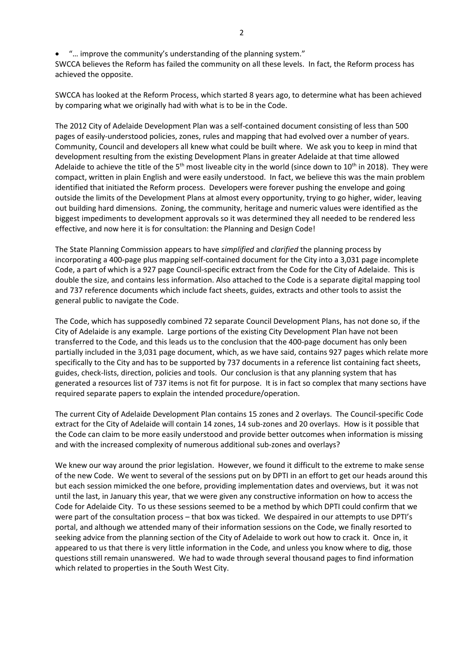• "... improve the community's understanding of the planning system."

SWCCA believes the Reform has failed the community on all these levels. In fact, the Reform process has achieved the opposite.

SWCCA has looked at the Reform Process, which started 8 years ago, to determine what has been achieved by comparing what we originally had with what is to be in the Code.

The 2012 City of Adelaide Development Plan was a self-contained document consisting of less than 500 pages of easily-understood policies, zones, rules and mapping that had evolved over a number of years. Community, Council and developers all knew what could be built where. We ask you to keep in mind that development resulting from the existing Development Plans in greater Adelaide at that time allowed Adelaide to achieve the title of the  $5<sup>th</sup>$  most liveable city in the world (since down to  $10<sup>th</sup>$  in 2018). They were compact, written in plain English and were easily understood. In fact, we believe this was the main problem identified that initiated the Reform process. Developers were forever pushing the envelope and going outside the limits of the Development Plans at almost every opportunity, trying to go higher, wider, leaving out building hard dimensions. Zoning, the community, heritage and numeric values were identified as the biggest impediments to development approvals so it was determined they all needed to be rendered less effective, and now here it is for consultation: the Planning and Design Code!

The State Planning Commission appears to have *simplified* and *clarified* the planning process by incorporating a 400-page plus mapping self-contained document for the City into a 3,031 page incomplete Code, a part of which is a 927 page Council-specific extract from the Code for the City of Adelaide. This is double the size, and contains less information. Also attached to the Code is a separate digital mapping tool and 737 reference documents which include fact sheets, guides, extracts and other tools to assist the general public to navigate the Code.

The Code, which has supposedly combined 72 separate Council Development Plans, has not done so, if the City of Adelaide is any example. Large portions of the existing City Development Plan have not been transferred to the Code, and this leads us to the conclusion that the 400-page document has only been partially included in the 3,031 page document, which, as we have said, contains 927 pages which relate more specifically to the City and has to be supported by 737 documents in a reference list containing fact sheets, guides, check-lists, direction, policies and tools. Our conclusion is that any planning system that has generated a resources list of 737 items is not fit for purpose. It is in fact so complex that many sections have required separate papers to explain the intended procedure/operation.

The current City of Adelaide Development Plan contains 15 zones and 2 overlays. The Council-specific Code extract for the City of Adelaide will contain 14 zones, 14 sub-zones and 20 overlays. How is it possible that the Code can claim to be more easily understood and provide better outcomes when information is missing and with the increased complexity of numerous additional sub-zones and overlays?

We knew our way around the prior legislation. However, we found it difficult to the extreme to make sense of the new Code. We went to several of the sessions put on by DPTI in an effort to get our heads around this but each session mimicked the one before, providing implementation dates and overviews, but it was not until the last, in January this year, that we were given any constructive information on how to access the Code for Adelaide City. To us these sessions seemed to be a method by which DPTI could confirm that we were part of the consultation process – that box was ticked. We despaired in our attempts to use DPTI's portal, and although we attended many of their information sessions on the Code, we finally resorted to seeking advice from the planning section of the City of Adelaide to work out how to crack it. Once in, it appeared to us that there is very little information in the Code, and unless you know where to dig, those questions still remain unanswered. We had to wade through several thousand pages to find information which related to properties in the South West City.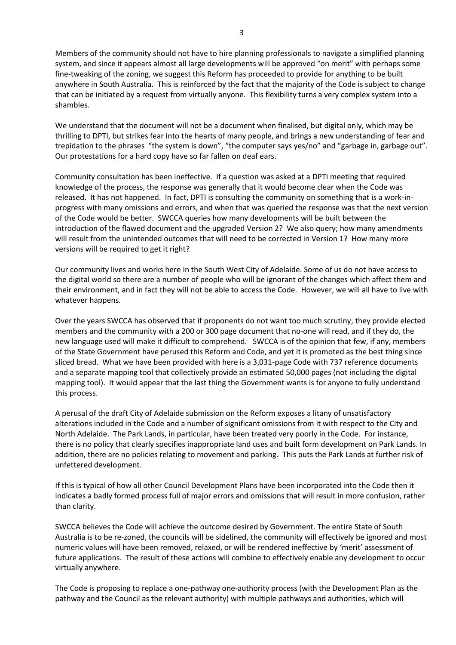Members of the community should not have to hire planning professionals to navigate a simplified planning system, and since it appears almost all large developments will be approved "on merit" with perhaps some fine-tweaking of the zoning, we suggest this Reform has proceeded to provide for anything to be built anywhere in South Australia. This is reinforced by the fact that the majority of the Code is subject to change that can be initiated by a request from virtually anyone. This flexibility turns a very complex system into a shambles.

We understand that the document will not be a document when finalised, but digital only, which may be thrilling to DPTI, but strikes fear into the hearts of many people, and brings a new understanding of fear and trepidation to the phrases "the system is down", "the computer says yes/no" and "garbage in, garbage out". Our protestations for a hard copy have so far fallen on deaf ears.

Community consultation has been ineffective. If a question was asked at a DPTI meeting that required knowledge of the process, the response was generally that it would become clear when the Code was released. It has not happened. In fact, DPTI is consulting the community on something that is a work-inprogress with many omissions and errors, and when that was queried the response was that the next version of the Code would be better. SWCCA queries how many developments will be built between the introduction of the flawed document and the upgraded Version 2? We also query; how many amendments will result from the unintended outcomes that will need to be corrected in Version 1? How many more versions will be required to get it right?

Our community lives and works here in the South West City of Adelaide. Some of us do not have access to the digital world so there are a number of people who will be ignorant of the changes which affect them and their environment, and in fact they will not be able to access the Code. However, we will all have to live with whatever happens.

Over the years SWCCA has observed that if proponents do not want too much scrutiny, they provide elected members and the community with a 200 or 300 page document that no-one will read, and if they do, the new language used will make it difficult to comprehend. SWCCA is of the opinion that few, if any, members of the State Government have perused this Reform and Code, and yet it is promoted as the best thing since sliced bread. What we have been provided with here is a 3,031-page Code with 737 reference documents and a separate mapping tool that collectively provide an estimated 50,000 pages (not including the digital mapping tool). It would appear that the last thing the Government wants is for anyone to fully understand this process.

A perusal of the draft City of Adelaide submission on the Reform exposes a litany of unsatisfactory alterations included in the Code and a number of significant omissions from it with respect to the City and North Adelaide. The Park Lands, in particular, have been treated very poorly in the Code. For instance, there is no policy that clearly specifies inappropriate land uses and built form development on Park Lands. In addition, there are no policies relating to movement and parking. This puts the Park Lands at further risk of unfettered development.

If this is typical of how all other Council Development Plans have been incorporated into the Code then it indicates a badly formed process full of major errors and omissions that will result in more confusion, rather than clarity.

SWCCA believes the Code will achieve the outcome desired by Government. The entire State of South Australia is to be re-zoned, the councils will be sidelined, the community will effectively be ignored and most numeric values will have been removed, relaxed, or will be rendered ineffective by 'merit' assessment of future applications. The result of these actions will combine to effectively enable any development to occur virtually anywhere.

The Code is proposing to replace a one-pathway one-authority process (with the Development Plan as the pathway and the Council as the relevant authority) with multiple pathways and authorities, which will